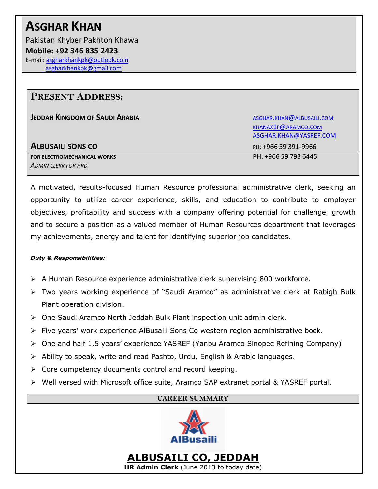# **ASGHAR KHAN**

Pakistan Khyber Pakhton Khawa **Mobile:** +**92 346 835 2423** E-mail[: asgharkhankpk@outlook.com](mailto:asgharkhankpk@outlook.com) [asgharkhankpk@gmail.com](mailto:asgharkhankpk@gmail.com)

### **PRESENT ADDRESS:**

**JEDDAH KINGDOM OF SAUDI ARABIA ABBA [ALBUSAILI](mailto:asghar.khan@albusaili.com).COM** 

**ALBUSAILI SONS CO** PH: +966 59 391-9966 **FOR ELECTROMECHANICAL WORKS** PH: +966 59 793 6445 *ADMIN CLERK FOR HRD*

KHANAX1F@[ARAMCO](mailto:khanax1f@aramco.com).COM [ASGHAR.KHAN@YASREF.COM](mailto:ASGHAR.KHAN@YASREF.COM)

A motivated, results-focused Human Resource professional administrative clerk, seeking an opportunity to utilize career experience, skills, and education to contribute to employer objectives, profitability and success with a company offering potential for challenge, growth and to secure a position as a valued member of Human Resources department that leverages my achievements, energy and talent for identifying superior job candidates.

### *Duty & Responsibilities:*

- A Human Resource experience administrative clerk supervising 800 workforce.
- Two years working experience of "Saudi Aramco" as administrative clerk at Rabigh Bulk Plant operation division.
- $\triangleright$  One Saudi Aramco North Jeddah Bulk Plant inspection unit admin clerk.
- $\triangleright$  Five years' work experience AlBusaili Sons Co western region administrative bock.
- One and half 1.5 years' experience YASREF (Yanbu Aramco Sinopec Refining Company)
- Ability to speak, write and read Pashto, Urdu, English & Arabic languages.
- $\triangleright$  Core competency documents control and record keeping.
- Well versed with Microsoft office suite, Aramco SAP extranet portal & YASREF portal.

### **CAREER SUMMARY**



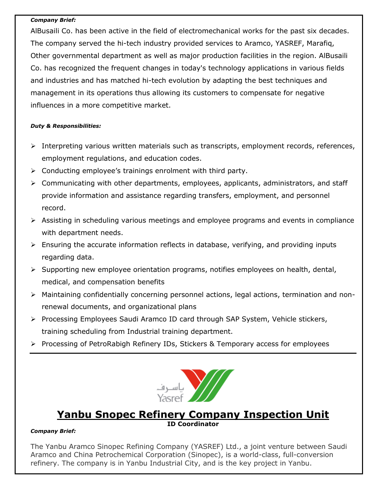#### *Company Brief:*

AlBusaili Co. has been active in the field of electromechanical works for the past six decades. The company served the hi-tech industry provided services to Aramco, YASREF, Marafiq, Other governmental department as well as major production facilities in the region. AlBusaili Co. has recognized the frequent changes in today's technology applications in various fields and industries and has matched hi-tech evolution by adapting the best techniques and management in its operations thus allowing its customers to compensate for negative influences in a more competitive market.

### *Duty & Responsibilities:*

- $\triangleright$  Interpreting various written materials such as transcripts, employment records, references, employment regulations, and education codes.
- $\triangleright$  Conducting employee's trainings enrolment with third party.
- Communicating with other departments, employees, applicants, administrators, and staff provide information and assistance regarding transfers, employment, and personnel record.
- Assisting in scheduling various meetings and employee programs and events in compliance with department needs.
- $\triangleright$  Ensuring the accurate information reflects in database, verifying, and providing inputs regarding data.
- $\triangleright$  Supporting new employee orientation programs, notifies employees on health, dental, medical, and compensation benefits
- Maintaining confidentially concerning personnel actions, legal actions, termination and nonrenewal documents, and organizational plans
- $\triangleright$  Processing Employees Saudi Aramco ID card through SAP System, Vehicle stickers, training scheduling from Industrial training department.
- ▶ Processing of PetroRabigh Refinery IDs, Stickers & Temporary access for employees



### **Yanbu Snopec Refinery Company Inspection Unit ID Coordinator**

### *Company Brief:*

The Yanbu Aramco Sinopec Refining Company (YASREF) Ltd., a joint venture between Saudi Aramco and China Petrochemical Corporation (Sinopec), is a world-class, full-conversion refinery. The company is in Yanbu Industrial City, and is the key project in Yanbu.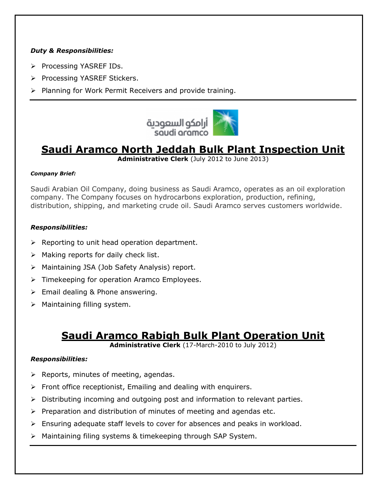### *Duty & Responsibilities:*

- ▶ Processing YASREF IDs.
- ▶ Processing YASREF Stickers.
- $\triangleright$  Planning for Work Permit Receivers and provide training.



## **Saudi Aramco North Jeddah Bulk Plant Inspection Unit**

**Administrative Clerk** (July 2012 to June 2013)

### *Company Brief:*

Saudi Arabian Oil Company, doing business as Saudi Aramco, operates as an oil exploration company. The Company focuses on hydrocarbons exploration, production, refining, distribution, shipping, and marketing crude oil. Saudi Aramco serves customers worldwide.

### *Responsibilities:*

- $\triangleright$  Reporting to unit head operation department.
- $\triangleright$  Making reports for daily check list.
- Maintaining JSA (Job Safety Analysis) report.
- $\triangleright$  Timekeeping for operation Aramco Employees.
- $\triangleright$  Email dealing & Phone answering.
- $\triangleright$  Maintaining filling system.

### **Saudi Aramco Rabigh Bulk Plant Operation Unit**

**Administrative Clerk** (17-March-2010 to July 2012)

### *Responsibilities:*

- $\triangleright$  Reports, minutes of meeting, agendas.
- $\triangleright$  Front office receptionist, Emailing and dealing with enquirers.
- $\triangleright$  Distributing incoming and outgoing post and information to relevant parties.
- $\triangleright$  Preparation and distribution of minutes of meeting and agendas etc.
- $\triangleright$  Ensuring adequate staff levels to cover for absences and peaks in workload.
- Maintaining filing systems & timekeeping through SAP System.